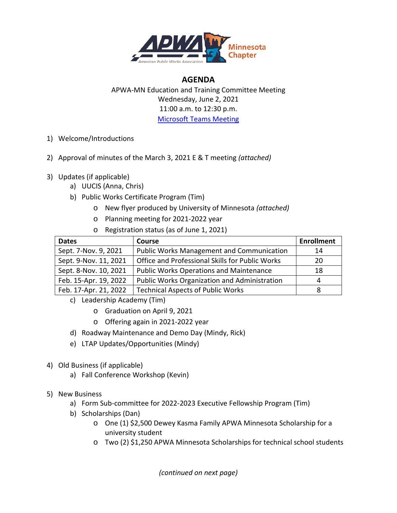

## **AGENDA**

APWA-MN Education and Training Committee Meeting Wednesday, June 2, 2021 11:00 a.m. to 12:30 p.m. [Microsoft Teams Meeting](https://teams.microsoft.com/l/meetup-join/19%3ameeting_Yjg4MTg2MzQtZmM5OC00ZTFmLTk0MjQtNDQ3YjEyMzZhZGVm%40thread.v2/0?context=%7b%22Tid%22%3a%221ca836c2-e742-4129-9a1f-4657a6aa2682%22%2c%22Oid%22%3a%2239f968d4-3eeb-42f8-bfbb-398d5b0578e2%22%7d)

- 1) Welcome/Introductions
- 2) Approval of minutes of the March 3, 2021 E & T meeting *(attached)*
- 3) Updates (if applicable)
	- a) UUCIS (Anna, Chris)
	- b) Public Works Certificate Program (Tim)
		- o New flyer produced by University of Minnesota *(attached)*
		- o Planning meeting for 2021-2022 year
		- o Registration status (as of June 1, 2021)

| <b>Dates</b>          | <b>Course</b>                                       | <b>Enrollment</b> |
|-----------------------|-----------------------------------------------------|-------------------|
| Sept. 7-Nov. 9, 2021  | <b>Public Works Management and Communication</b>    | 14                |
| Sept. 9-Nov. 11, 2021 | Office and Professional Skills for Public Works     | 20                |
| Sept. 8-Nov. 10, 2021 | <b>Public Works Operations and Maintenance</b>      | 18                |
| Feb. 15-Apr. 19, 2022 | <b>Public Works Organization and Administration</b> | 4                 |
| Feb. 17-Apr. 21, 2022 | <b>Technical Aspects of Public Works</b>            |                   |

- c) Leadership Academy (Tim)
	- o Graduation on April 9, 2021
	- o Offering again in 2021-2022 year
- d) Roadway Maintenance and Demo Day (Mindy, Rick)
- e) LTAP Updates/Opportunities (Mindy)
- 4) Old Business (if applicable)
	- a) Fall Conference Workshop (Kevin)
- 5) New Business
	- a) Form Sub-committee for 2022-2023 Executive Fellowship Program (Tim)
	- b) Scholarships (Dan)
		- o One (1) \$2,500 Dewey Kasma Family APWA Minnesota Scholarship for a university student
		- o Two (2) \$1,250 APWA Minnesota Scholarships for technical school students

*(continued on next page)*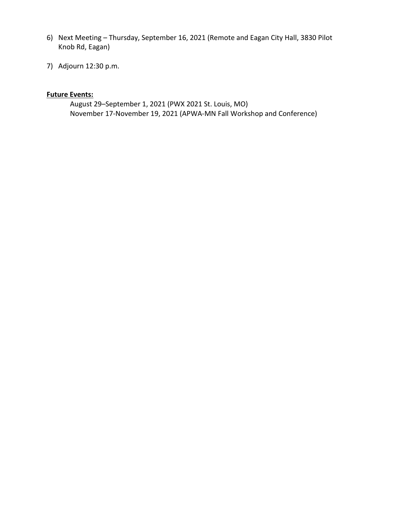- 6) Next Meeting Thursday, September 16, 2021 (Remote and Eagan City Hall, 3830 Pilot Knob Rd, Eagan)
- 7) Adjourn 12:30 p.m.

## **Future Events:**

August 29–September 1, 2021 (PWX 2021 St. Louis, MO) November 17-November 19, 2021 (APWA-MN Fall Workshop and Conference)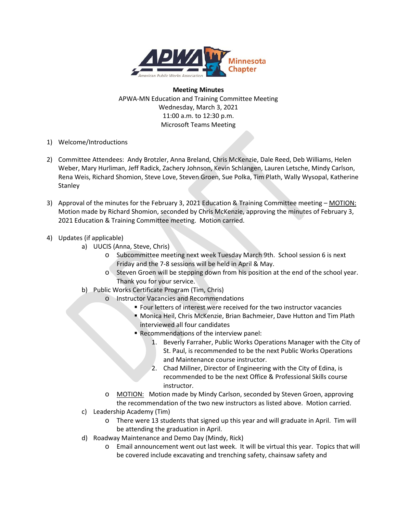

### **Meeting Minutes**

APWA-MN Education and Training Committee Meeting Wednesday, March 3, 2021 11:00 a.m. to 12:30 p.m. Microsoft Teams Meeting

- 1) Welcome/Introductions
- 2) Committee Attendees: Andy Brotzler, Anna Breland, Chris McKenzie, Dale Reed, Deb Williams, Helen Weber, Mary Hurliman, Jeff Radick, Zachery Johnson, Kevin Schlangen, Lauren Letsche, Mindy Carlson, Rena Weis, Richard Shomion, Steve Love, Steven Groen, Sue Polka, Tim Plath, Wally Wysopal, Katherine Stanley
- 3) Approval of the minutes for the February 3, 2021 Education & Training Committee meeting MOTION: Motion made by Richard Shomion, seconded by Chris McKenzie, approving the minutes of February 3, 2021 Education & Training Committee meeting. Motion carried.

## 4) Updates (if applicable)

- a) UUCIS (Anna, Steve, Chris)
	- o Subcommittee meeting next week Tuesday March 9th. School session 6 is next Friday and the 7-8 sessions will be held in April & May.
	- o Steven Groen will be stepping down from his position at the end of the school year. Thank you for your service.
- b) Public Works Certificate Program (Tim, Chris)
	- o Instructor Vacancies and Recommendations
		- **Four letters of interest were received for the two instructor vacancies**
		- Monica Heil, Chris McKenzie, Brian Bachmeier, Dave Hutton and Tim Plath interviewed all four candidates
		- Recommendations of the interview panel:
			- 1. Beverly Farraher, Public Works Operations Manager with the City of St. Paul, is recommended to be the next Public Works Operations and Maintenance course instructor.
			- 2. Chad Millner, Director of Engineering with the City of Edina, is recommended to be the next Office & Professional Skills course instructor.
	- o MOTION: Motion made by Mindy Carlson, seconded by Steven Groen, approving the recommendation of the two new instructors as listed above. Motion carried.
- c) Leadership Academy (Tim)
	- o There were 13 students that signed up this year and will graduate in April. Tim will be attending the graduation in April.
- d) Roadway Maintenance and Demo Day (Mindy, Rick)
	- o Email announcement went out last week. It will be virtual this year. Topics that will be covered include excavating and trenching safety, chainsaw safety and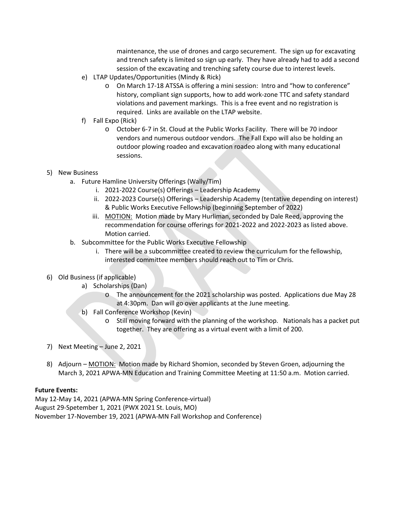maintenance, the use of drones and cargo securement. The sign up for excavating and trench safety is limited so sign up early. They have already had to add a second session of the excavating and trenching safety course due to interest levels.

- e) LTAP Updates/Opportunities (Mindy & Rick)
	- o On March 17-18 ATSSA is offering a mini session: Intro and "how to conference" history, compliant sign supports, how to add work-zone TTC and safety standard violations and pavement markings. This is a free event and no registration is required. Links are available on the LTAP website.
- f) Fall Expo (Rick)
	- o October 6-7 in St. Cloud at the Public Works Facility. There will be 70 indoor vendors and numerous outdoor vendors. The Fall Expo will also be holding an outdoor plowing roadeo and excavation roadeo along with many educational sessions.

## 5) New Business

- a. Future Hamline University Offerings (Wally/Tim)
	- i. 2021-2022 Course(s) Offerings Leadership Academy
	- ii. 2022-2023 Course(s) Offerings Leadership Academy (tentative depending on interest) & Public Works Executive Fellowship (beginning September of 2022)
	- iii. MOTION: Motion made by Mary Hurliman, seconded by Dale Reed, approving the recommendation for course offerings for 2021-2022 and 2022-2023 as listed above. Motion carried.
- b. Subcommittee for the Public Works Executive Fellowship
	- i. There will be a subcommittee created to review the curriculum for the fellowship, interested committee members should reach out to Tim or Chris.

## 6) Old Business (if applicable)

- a) Scholarships (Dan)
	- o The announcement for the 2021 scholarship was posted. Applications due May 28 at 4:30pm. Dan will go over applicants at the June meeting.
- b) Fall Conference Workshop (Kevin)
	- o Still moving forward with the planning of the workshop. Nationals has a packet put together. They are offering as a virtual event with a limit of 200.
- 7) Next Meeting June 2, 2021
- 8) Adjourn MOTION: Motion made by Richard Shomion, seconded by Steven Groen, adjourning the March 3, 2021 APWA-MN Education and Training Committee Meeting at 11:50 a.m. Motion carried.

## **Future Events:**

May 12-May 14, 2021 (APWA-MN Spring Conference-virtual) August 29-Spetember 1, 2021 (PWX 2021 St. Louis, MO) November 17-November 19, 2021 (APWA-MN Fall Workshop and Conference)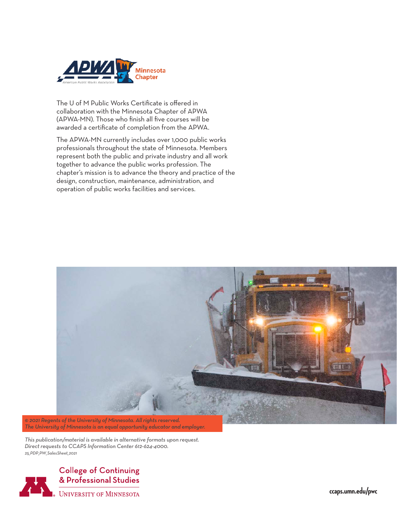

The U of M Public Works Certificate is offered in collaboration with the Minnesota Chapter of APWA (APWA-MN). Those who finish all five courses will be awarded a certificate of completion from the APWA.

The APWA-MN currently includes over 1,000 public works professionals throughout the state of Minnesota. Members represent both the public and private industry and all work together to advance the public works profession. The chapter's mission is to advance the theory and practice of the design, construction, maintenance, administration, and operation of public works facilities and services.



*© 2021 Regents of the University of Minnesota. All rights reserved. The University of Minnesota is an equal opportunity educator and employer.* 

*This publication/material is available in alternative formats upon request. Direct requests to CCAPS Information Center 612-624-4000. 25\_PDP\_PW\_SalesSheet\_2021*



**ccaps.umn.edu/pwc**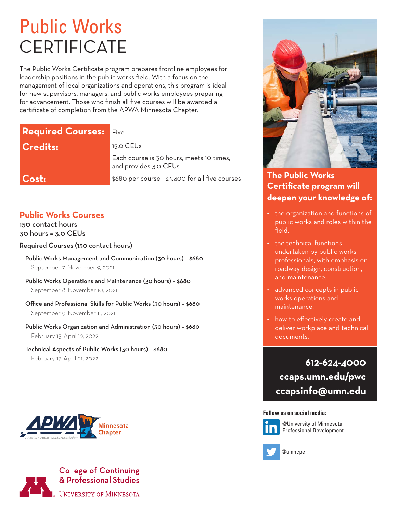# Public Works **CERTIFICATE**

The Public Works Certificate program prepares frontline employees for leadership positions in the public works field. With a focus on the management of local organizations and operations, this program is ideal for new supervisors, managers, and public works employees preparing for advancement. Those who finish all five courses will be awarded a certificate of completion from the APWA Minnesota Chapter.

| <b>Required Courses: Five</b> |                                                                   |
|-------------------------------|-------------------------------------------------------------------|
| <b>Credits:</b>               | 15.0 CEU <sub>s</sub>                                             |
|                               | Each course is 30 hours, meets 10 times,<br>and provides 3.0 CEUs |
| $\mathsf{Cost}\text{:}$       | \$680 per course   \$3,400 for all five courses                   |

# **Public Works Courses**

150 contact hours 30 hours = 3.0 CEUs

## Required Courses (150 contact hours)

Public Works Management and Communication (30 hours) – \$680 September 7–November 9, 2021

Public Works Operations and Maintenance (30 hours) – \$680 September 8–November 10, 2021

Office and Professional Skills for Public Works (30 hours) – \$680 September 9–November 11, 2021

Public Works Organization and Administration (30 hours) – \$680 February 15–April 19, 2022

Technical Aspects of Public Works (30 hours) – \$680 February 17–April 21, 2022







# **The Public Works Certificate program will deepen your knowledge of:**

- the organization and functions of public works and roles within the field.
- the technical functions undertaken by public works professionals, with emphasis on roadway design, construction, and maintenance.
- advanced concepts in public works operations and maintenance.
- how to effectively create and deliver workplace and technical documents.

**612-624-4000 ccaps.umn.edu/pwc ccapsinfo@umn.edu**

#### **Follow us on social media:**



@University of Minnesota Professional Development



@umncpe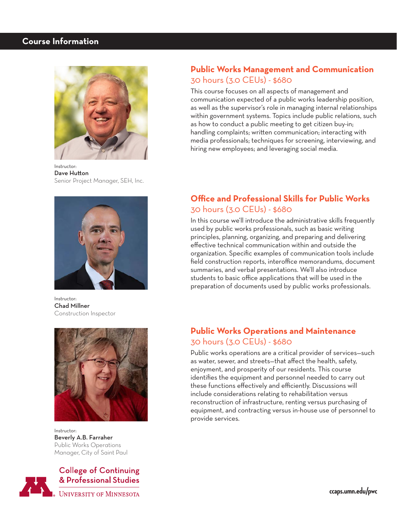# **Course Information**



Instructor: Dave Hutton Senior Project Manager, SEH, Inc.



Instructor: Chad Millner Construction Inspector



Instructor: Beverly A.B. Farraher Public Works Operations Manager, City of Saint Paul



**College of Continuing** & Professional Studies

**UNIVERSITY OF MINNESOTA** 

# **Public Works Management and Communication** 30 hours (3.0 CEUs) - \$680

This course focuses on all aspects of management and communication expected of a public works leadership position, as well as the supervisor's role in managing internal relationships within government systems. Topics include public relations, such as how to conduct a public meeting to get citizen buy-in; handling complaints; written communication; interacting with media professionals; techniques for screening, interviewing, and hiring new employees; and leveraging social media.

# **Office and Professional Skills for Public Works** 30 hours (3.0 CEUs) - \$680

In this course we'll introduce the administrative skills frequently used by public works professionals, such as basic writing principles, planning, organizing, and preparing and delivering effective technical communication within and outside the organization. Specific examples of communication tools include field construction reports, interoffice memorandums, document summaries, and verbal presentations. We'll also introduce students to basic office applications that will be used in the preparation of documents used by public works professionals.

# **Public Works Operations and Maintenance** 30 hours (3.0 CEUs) - \$680

Public works operations are a critical provider of services—such as water, sewer, and streets—that affect the health, safety, enjoyment, and prosperity of our residents. This course identifies the equipment and personnel needed to carry out these functions effectively and efficiently. Discussions will include considerations relating to rehabilitation versus reconstruction of infrastructure, renting versus purchasing of equipment, and contracting versus in-house use of personnel to provide services.

**ccaps.umn.edu/pwc**